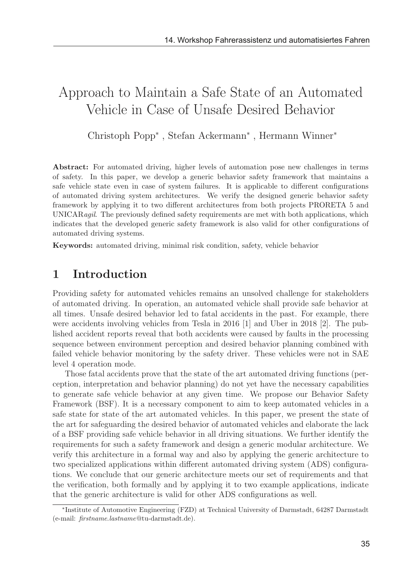# Approach to Maintain a Safe State of an Automated Vehicle in Case of Unsafe Desired Behavior

Christoph Popp<sup>∗</sup> , Stefan Ackermann<sup>∗</sup> , Hermann Winner<sup>∗</sup>

Abstract: For automated driving, higher levels of automation pose new challenges in terms of safety. In this paper, we develop a generic behavior safety framework that maintains a safe vehicle state even in case of system failures. It is applicable to different configurations of automated driving system architectures. We verify the designed generic behavior safety framework by applying it to two different architectures from both projects PRORETA 5 and UNICARagil. The previously defined safety requirements are met with both applications, which indicates that the developed generic safety framework is also valid for other configurations of automated driving systems.

Keywords: automated driving, minimal risk condition, safety, vehicle behavior

# 1 Introduction

Providing safety for automated vehicles remains an unsolved challenge for stakeholders of automated driving. In operation, an automated vehicle shall provide safe behavior at all times. Unsafe desired behavior led to fatal accidents in the past. For example, there were accidents involving vehicles from Tesla in 2016 [1] and Uber in 2018 [2]. The published accident reports reveal that both accidents were caused by faults in the processing sequence between environment perception and desired behavior planning combined with failed vehicle behavior monitoring by the safety driver. These vehicles were not in SAE level 4 operation mode.

Those fatal accidents prove that the state of the art automated driving functions (perception, interpretation and behavior planning) do not yet have the necessary capabilities to generate safe vehicle behavior at any given time. We propose our Behavior Safety Framework (BSF). It is a necessary component to aim to keep automated vehicles in a safe state for state of the art automated vehicles. In this paper, we present the state of the art for safeguarding the desired behavior of automated vehicles and elaborate the lack of a BSF providing safe vehicle behavior in all driving situations. We further identify the requirements for such a safety framework and design a generic modular architecture. We verify this architecture in a formal way and also by applying the generic architecture to two specialized applications within different automated driving system (ADS) configurations. We conclude that our generic architecture meets our set of requirements and that the verification, both formally and by applying it to two example applications, indicate that the generic architecture is valid for other ADS configurations as well.

<sup>∗</sup>Institute of Automotive Engineering (FZD) at Technical University of Darmstadt, 64287 Darmstadt (e-mail: firstname.lastname@tu-darmstadt.de).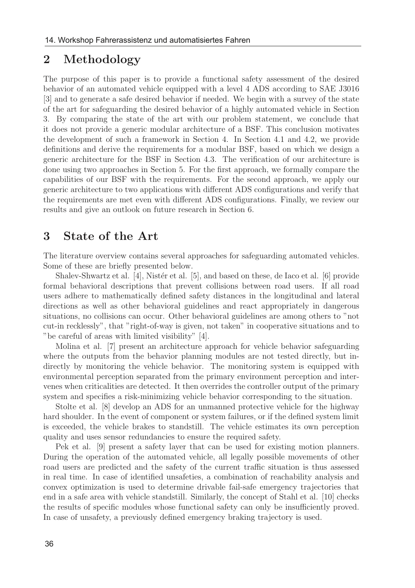# 2 Methodology

The purpose of this paper is to provide a functional safety assessment of the desired behavior of an automated vehicle equipped with a level 4 ADS according to SAE J3016 [3] and to generate a safe desired behavior if needed. We begin with a survey of the state of the art for safeguarding the desired behavior of a highly automated vehicle in Section 3. By comparing the state of the art with our problem statement, we conclude that it does not provide a generic modular architecture of a BSF. This conclusion motivates the development of such a framework in Section 4. In Section 4.1 and 4.2, we provide definitions and derive the requirements for a modular BSF, based on which we design a generic architecture for the BSF in Section 4.3. The verification of our architecture is done using two approaches in Section 5. For the first approach, we formally compare the capabilities of our BSF with the requirements. For the second approach, we apply our generic architecture to two applications with different ADS configurations and verify that the requirements are met even with different ADS configurations. Finally, we review our results and give an outlook on future research in Section 6.

### 3 State of the Art

The literature overview contains several approaches for safeguarding automated vehicles. Some of these are briefly presented below.

Shalev-Shwartz et al.  $[4]$ , Nistér et al.  $[5]$ , and based on these, de Iaco et al.  $[6]$  provide formal behavioral descriptions that prevent collisions between road users. If all road users adhere to mathematically defined safety distances in the longitudinal and lateral directions as well as other behavioral guidelines and react appropriately in dangerous situations, no collisions can occur. Other behavioral guidelines are among others to "not cut-in recklessly", that "right-of-way is given, not taken" in cooperative situations and to "be careful of areas with limited visibility" [4].

Molina et al. [7] present an architecture approach for vehicle behavior safeguarding where the outputs from the behavior planning modules are not tested directly, but indirectly by monitoring the vehicle behavior. The monitoring system is equipped with environmental perception separated from the primary environment perception and intervenes when criticalities are detected. It then overrides the controller output of the primary system and specifies a risk-minimizing vehicle behavior corresponding to the situation.

Stolte et al. [8] develop an ADS for an unmanned protective vehicle for the highway hard shoulder. In the event of component or system failures, or if the defined system limit is exceeded, the vehicle brakes to standstill. The vehicle estimates its own perception quality and uses sensor redundancies to ensure the required safety.

Pek et al. [9] present a safety layer that can be used for existing motion planners. During the operation of the automated vehicle, all legally possible movements of other road users are predicted and the safety of the current traffic situation is thus assessed in real time. In case of identified unsafeties, a combination of reachability analysis and convex optimization is used to determine drivable fail-safe emergency trajectories that end in a safe area with vehicle standstill. Similarly, the concept of Stahl et al. [10] checks the results of specific modules whose functional safety can only be insufficiently proved. In case of unsafety, a previously defined emergency braking trajectory is used.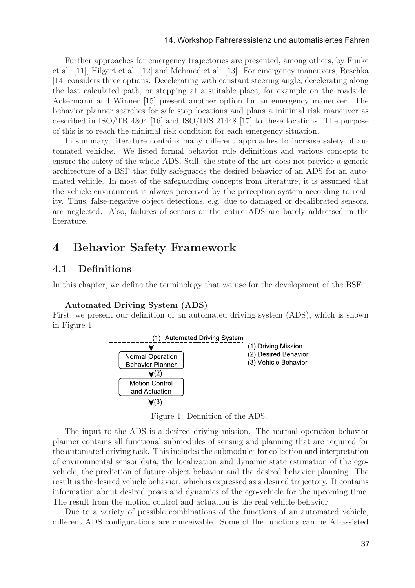Further approaches for emergency trajectories are presented, among others, by Funke et al. [11], Hilgert et al. [12] and Mehmed et al. [13]. For emergency maneuvers, Reschka [14] considers three options: Decelerating with constant steering angle, decelerating along the last calculated path, or stopping at a suitable place, for example on the roadside. Ackermann and Winner [15] present another option for an emergency maneuver: The behavior planner searches for safe stop locations and plans a minimal risk maneuver as described in ISO/TR 4804 [16] and ISO/DIS 21448 [17] to these locations. The purpose of this is to reach the minimal risk condition for each emergency situation.

In summary, literature contains many different approaches to increase safety of automated vehicles. We listed formal behavior rule definitions and various concepts to ensure the safety of the whole ADS. Still, the state of the art does not provide a generic architecture of a BSF that fully safeguards the desired behavior of an ADS for an automated vehicle. In most of the safeguarding concepts from literature, it is assumed that the vehicle environment is always perceived by the perception system according to reality. Thus, false-negative object detections, e.g. due to damaged or decalibrated sensors, are neglected. Also, failures of sensors or the entire ADS are barely addressed in the literature.

# 4 Behavior Safety Framework

### 4.1 Definitions

In this chapter, we define the terminology that we use for the development of the BSF.

#### Automated Driving System (ADS)

First, we present our definition of an automated driving system (ADS), which is shown in Figure 1.



Figure 1: Definition of the ADS.

The input to the ADS is a desired driving mission. The normal operation behavior planner contains all functional submodules of sensing and planning that are required for the automated driving task. This includes the submodules for collection and interpretation of environmental sensor data, the localization and dynamic state estimation of the egovehicle, the prediction of future object behavior and the desired behavior planning. The result is the desired vehicle behavior, which is expressed as a desired trajectory. It contains information about desired poses and dynamics of the ego-vehicle for the upcoming time. The result from the motion control and actuation is the real vehicle behavior.

Due to a variety of possible combinations of the functions of an automated vehicle, different ADS configurations are conceivable. Some of the functions can be AI-assisted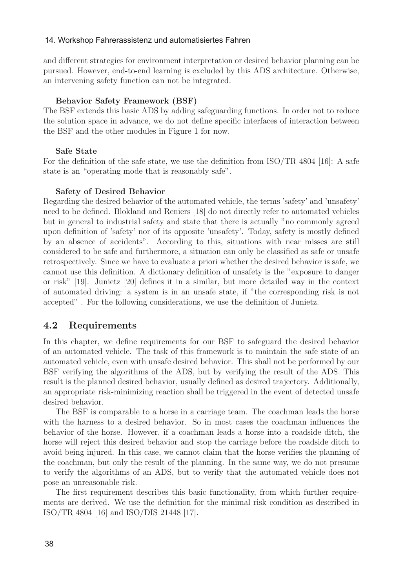and different strategies for environment interpretation or desired behavior planning can be pursued. However, end-to-end learning is excluded by this ADS architecture. Otherwise, an intervening safety function can not be integrated.

#### Behavior Safety Framework (BSF)

The BSF extends this basic ADS by adding safeguarding functions. In order not to reduce the solution space in advance, we do not define specific interfaces of interaction between the BSF and the other modules in Figure 1 for now.

#### Safe State

For the definition of the safe state, we use the definition from ISO/TR 4804 [16]: A safe state is an "operating mode that is reasonably safe".

#### Safety of Desired Behavior

Regarding the desired behavior of the automated vehicle, the terms 'safety' and 'unsafety' need to be defined. Blokland and Reniers [18] do not directly refer to automated vehicles but in general to industrial safety and state that there is actually "no commonly agreed upon definition of 'safety' nor of its opposite 'unsafety'. Today, safety is mostly defined by an absence of accidents". According to this, situations with near misses are still considered to be safe and furthermore, a situation can only be classified as safe or unsafe retrospectively. Since we have to evaluate a priori whether the desired behavior is safe, we cannot use this definition. A dictionary definition of unsafety is the "exposure to danger or risk" [19]. Junietz [20] defines it in a similar, but more detailed way in the context of automated driving: a system is in an unsafe state, if "the corresponding risk is not accepted" . For the following considerations, we use the definition of Junietz.

#### 4.2 Requirements

In this chapter, we define requirements for our BSF to safeguard the desired behavior of an automated vehicle. The task of this framework is to maintain the safe state of an automated vehicle, even with unsafe desired behavior. This shall not be performed by our BSF verifying the algorithms of the ADS, but by verifying the result of the ADS. This result is the planned desired behavior, usually defined as desired trajectory. Additionally, an appropriate risk-minimizing reaction shall be triggered in the event of detected unsafe desired behavior.

The BSF is comparable to a horse in a carriage team. The coachman leads the horse with the harness to a desired behavior. So in most cases the coachman influences the behavior of the horse. However, if a coachman leads a horse into a roadside ditch, the horse will reject this desired behavior and stop the carriage before the roadside ditch to avoid being injured. In this case, we cannot claim that the horse verifies the planning of the coachman, but only the result of the planning. In the same way, we do not presume to verify the algorithms of an ADS, but to verify that the automated vehicle does not pose an unreasonable risk.

The first requirement describes this basic functionality, from which further requirements are derived. We use the definition for the minimal risk condition as described in ISO/TR 4804 [16] and ISO/DIS 21448 [17].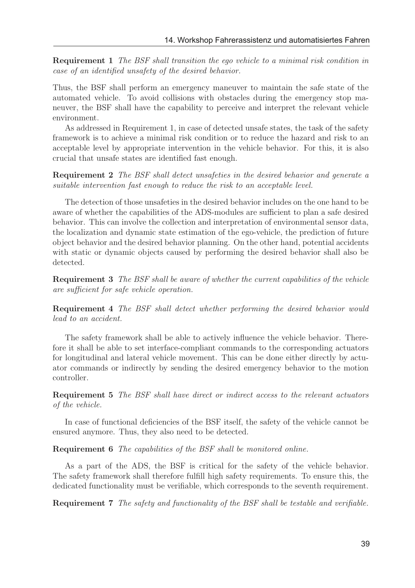Requirement 1 The BSF shall transition the ego vehicle to a minimal risk condition in case of an identified unsafety of the desired behavior.

Thus, the BSF shall perform an emergency maneuver to maintain the safe state of the automated vehicle. To avoid collisions with obstacles during the emergency stop maneuver, the BSF shall have the capability to perceive and interpret the relevant vehicle environment.

As addressed in Requirement 1, in case of detected unsafe states, the task of the safety framework is to achieve a minimal risk condition or to reduce the hazard and risk to an acceptable level by appropriate intervention in the vehicle behavior. For this, it is also crucial that unsafe states are identified fast enough.

Requirement 2 The BSF shall detect unsafeties in the desired behavior and generate a suitable intervention fast enough to reduce the risk to an acceptable level.

The detection of those unsafeties in the desired behavior includes on the one hand to be aware of whether the capabilities of the ADS-modules are sufficient to plan a safe desired behavior. This can involve the collection and interpretation of environmental sensor data, the localization and dynamic state estimation of the ego-vehicle, the prediction of future object behavior and the desired behavior planning. On the other hand, potential accidents with static or dynamic objects caused by performing the desired behavior shall also be detected.

Requirement 3 The BSF shall be aware of whether the current capabilities of the vehicle are sufficient for safe vehicle operation.

Requirement 4 The BSF shall detect whether performing the desired behavior would lead to an accident.

The safety framework shall be able to actively influence the vehicle behavior. Therefore it shall be able to set interface-compliant commands to the corresponding actuators for longitudinal and lateral vehicle movement. This can be done either directly by actuator commands or indirectly by sending the desired emergency behavior to the motion controller.

Requirement 5 The BSF shall have direct or indirect access to the relevant actuators of the vehicle.

In case of functional deficiencies of the BSF itself, the safety of the vehicle cannot be ensured anymore. Thus, they also need to be detected.

Requirement 6 The capabilities of the BSF shall be monitored online.

As a part of the ADS, the BSF is critical for the safety of the vehicle behavior. The safety framework shall therefore fulfill high safety requirements. To ensure this, the dedicated functionality must be verifiable, which corresponds to the seventh requirement.

Requirement 7 The safety and functionality of the BSF shall be testable and verifiable.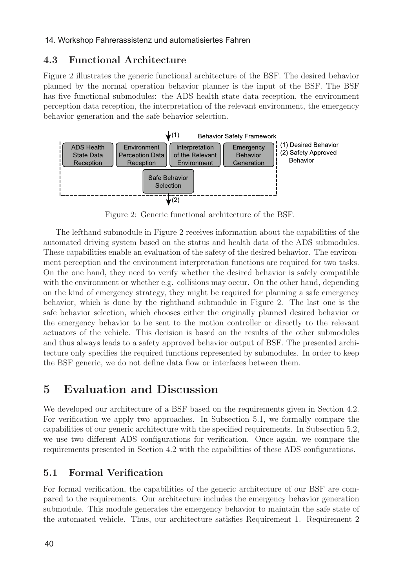### 4.3 Functional Architecture

Figure 2 illustrates the generic functional architecture of the BSF. The desired behavior planned by the normal operation behavior planner is the input of the BSF. The BSF has five functional submodules: the ADS health state data reception, the environment perception data reception, the interpretation of the relevant environment, the emergency behavior generation and the safe behavior selection.



Figure 2: Generic functional architecture of the BSF.

The lefthand submodule in Figure 2 receives information about the capabilities of the automated driving system based on the status and health data of the ADS submodules. These capabilities enable an evaluation of the safety of the desired behavior. The environment perception and the environment interpretation functions are required for two tasks. On the one hand, they need to verify whether the desired behavior is safely compatible with the environment or whether e.g. collisions may occur. On the other hand, depending on the kind of emergency strategy, they might be required for planning a safe emergency behavior, which is done by the righthand submodule in Figure 2. The last one is the safe behavior selection, which chooses either the originally planned desired behavior or the emergency behavior to be sent to the motion controller or directly to the relevant actuators of the vehicle. This decision is based on the results of the other submodules and thus always leads to a safety approved behavior output of BSF. The presented architecture only specifies the required functions represented by submodules. In order to keep the BSF generic, we do not define data flow or interfaces between them.

# 5 Evaluation and Discussion

We developed our architecture of a BSF based on the requirements given in Section 4.2. For verification we apply two approaches. In Subsection 5.1, we formally compare the capabilities of our generic architecture with the specified requirements. In Subsection 5.2, we use two different ADS configurations for verification. Once again, we compare the requirements presented in Section 4.2 with the capabilities of these ADS configurations.

### 5.1 Formal Verification

For formal verification, the capabilities of the generic architecture of our BSF are compared to the requirements. Our architecture includes the emergency behavior generation submodule. This module generates the emergency behavior to maintain the safe state of the automated vehicle. Thus, our architecture satisfies Requirement 1. Requirement 2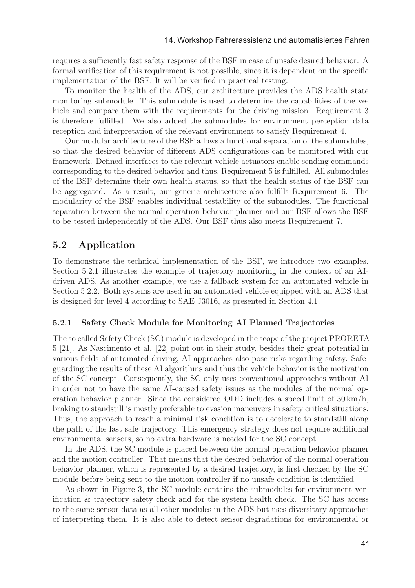requires a sufficiently fast safety response of the BSF in case of unsafe desired behavior. A formal verification of this requirement is not possible, since it is dependent on the specific implementation of the BSF. It will be verified in practical testing.

To monitor the health of the ADS, our architecture provides the ADS health state monitoring submodule. This submodule is used to determine the capabilities of the vehicle and compare them with the requirements for the driving mission. Requirement 3 is therefore fulfilled. We also added the submodules for environment perception data reception and interpretation of the relevant environment to satisfy Requirement 4.

Our modular architecture of the BSF allows a functional separation of the submodules, so that the desired behavior of different ADS configurations can be monitored with our framework. Defined interfaces to the relevant vehicle actuators enable sending commands corresponding to the desired behavior and thus, Requirement 5 is fulfilled. All submodules of the BSF determine their own health status, so that the health status of the BSF can be aggregated. As a result, our generic architecture also fulfills Requirement 6. The modularity of the BSF enables individual testability of the submodules. The functional separation between the normal operation behavior planner and our BSF allows the BSF to be tested independently of the ADS. Our BSF thus also meets Requirement 7.

### 5.2 Application

To demonstrate the technical implementation of the BSF, we introduce two examples. Section 5.2.1 illustrates the example of trajectory monitoring in the context of an AIdriven ADS. As another example, we use a fallback system for an automated vehicle in Section 5.2.2. Both systems are used in an automated vehicle equipped with an ADS that is designed for level 4 according to SAE J3016, as presented in Section 4.1.

#### 5.2.1 Safety Check Module for Monitoring AI Planned Trajectories

The so called Safety Check (SC) module is developed in the scope of the project PRORETA 5 [21]. As Nascimento et al. [22] point out in their study, besides their great potential in various fields of automated driving, AI-approaches also pose risks regarding safety. Safeguarding the results of these AI algorithms and thus the vehicle behavior is the motivation of the SC concept. Consequently, the SC only uses conventional approaches without AI in order not to have the same AI-caused safety issues as the modules of the normal operation behavior planner. Since the considered ODD includes a speed limit of  $30 \text{ km/h}$ , braking to standstill is mostly preferable to evasion maneuvers in safety critical situations. Thus, the approach to reach a minimal risk condition is to decelerate to standstill along the path of the last safe trajectory. This emergency strategy does not require additional environmental sensors, so no extra hardware is needed for the SC concept.

In the ADS, the SC module is placed between the normal operation behavior planner and the motion controller. That means that the desired behavior of the normal operation behavior planner, which is represented by a desired trajectory, is first checked by the SC module before being sent to the motion controller if no unsafe condition is identified.

As shown in Figure 3, the SC module contains the submodules for environment verification & trajectory safety check and for the system health check. The SC has access to the same sensor data as all other modules in the ADS but uses diversitary approaches of interpreting them. It is also able to detect sensor degradations for environmental or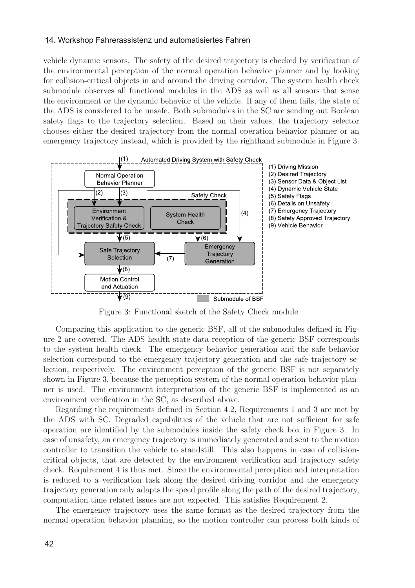vehicle dynamic sensors. The safety of the desired trajectory is checked by verification of the environmental perception of the normal operation behavior planner and by looking for collision-critical objects in and around the driving corridor. The system health check submodule observes all functional modules in the ADS as well as all sensors that sense the environment or the dynamic behavior of the vehicle. If any of them fails, the state of the ADS is considered to be unsafe. Both submodules in the SC are sending out Boolean safety flags to the trajectory selection. Based on their values, the trajectory selector chooses either the desired trajectory from the normal operation behavior planner or an emergency trajectory instead, which is provided by the righthand submodule in Figure 3.



Figure 3: Functional sketch of the Safety Check module.

Comparing this application to the generic BSF, all of the submodules defined in Figure 2 are covered. The ADS health state data reception of the generic BSF corresponds to the system health check. The emergency behavior generation and the safe behavior selection correspond to the emergency trajectory generation and the safe trajectory selection, respectively. The environment perception of the generic BSF is not separately shown in Figure 3, because the perception system of the normal operation behavior planner is used. The environment interpretation of the generic BSF is implemented as an environment verification in the SC, as described above.

Regarding the requirements defined in Section 4.2, Requirements 1 and 3 are met by the ADS with SC. Degraded capabilities of the vehicle that are not sufficient for safe operation are identified by the submodules inside the safety check box in Figure 3. In case of unsafety, an emergency trajectory is immediately generated and sent to the motion controller to transition the vehicle to standstill. This also happens in case of collisioncritical objects, that are detected by the environment verification and trajectory safety check. Requirement 4 is thus met. Since the environmental perception and interpretation is reduced to a verification task along the desired driving corridor and the emergency trajectory generation only adapts the speed profile along the path of the desired trajectory, computation time related issues are not expected. This satisfies Requirement 2.

The emergency trajectory uses the same format as the desired trajectory from the normal operation behavior planning, so the motion controller can process both kinds of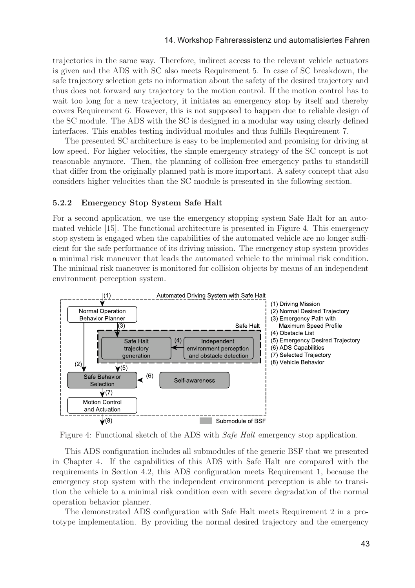trajectories in the same way. Therefore, indirect access to the relevant vehicle actuators is given and the ADS with SC also meets Requirement 5. In case of SC breakdown, the safe trajectory selection gets no information about the safety of the desired trajectory and thus does not forward any trajectory to the motion control. If the motion control has to wait too long for a new trajectory, it initiates an emergency stop by itself and thereby covers Requirement 6. However, this is not supposed to happen due to reliable design of the SC module. The ADS with the SC is designed in a modular way using clearly defined interfaces. This enables testing individual modules and thus fulfills Requirement 7.

The presented SC architecture is easy to be implemented and promising for driving at low speed. For higher velocities, the simple emergency strategy of the SC concept is not reasonable anymore. Then, the planning of collision-free emergency paths to standstill that differ from the originally planned path is more important. A safety concept that also considers higher velocities than the SC module is presented in the following section.

#### 5.2.2 Emergency Stop System Safe Halt

For a second application, we use the emergency stopping system Safe Halt for an automated vehicle [15]. The functional architecture is presented in Figure 4. This emergency stop system is engaged when the capabilities of the automated vehicle are no longer sufficient for the safe performance of its driving mission. The emergency stop system provides a minimal risk maneuver that leads the automated vehicle to the minimal risk condition. The minimal risk maneuver is monitored for collision objects by means of an independent environment perception system.



Figure 4: Functional sketch of the ADS with Safe Halt emergency stop application.

This ADS configuration includes all submodules of the generic BSF that we presented in Chapter 4. If the capabilities of this ADS with Safe Halt are compared with the requirements in Section 4.2, this ADS configuration meets Requirement 1, because the emergency stop system with the independent environment perception is able to transition the vehicle to a minimal risk condition even with severe degradation of the normal operation behavior planner.

The demonstrated ADS configuration with Safe Halt meets Requirement 2 in a prototype implementation. By providing the normal desired trajectory and the emergency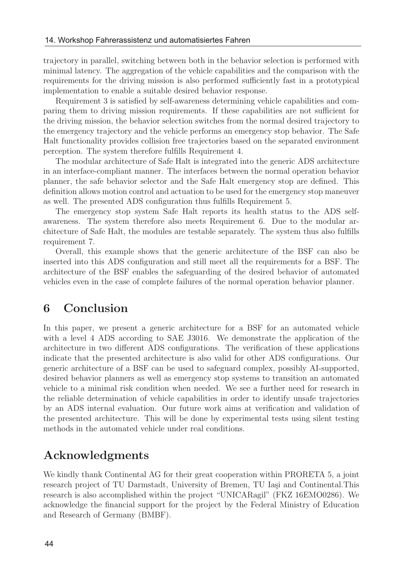trajectory in parallel, switching between both in the behavior selection is performed with minimal latency. The aggregation of the vehicle capabilities and the comparison with the requirements for the driving mission is also performed sufficiently fast in a prototypical implementation to enable a suitable desired behavior response.

Requirement 3 is satisfied by self-awareness determining vehicle capabilities and comparing them to driving mission requirements. If these capabilities are not sufficient for the driving mission, the behavior selection switches from the normal desired trajectory to the emergency trajectory and the vehicle performs an emergency stop behavior. The Safe Halt functionality provides collision free trajectories based on the separated environment perception. The system therefore fulfills Requirement 4.

The modular architecture of Safe Halt is integrated into the generic ADS architecture in an interface-compliant manner. The interfaces between the normal operation behavior planner, the safe behavior selector and the Safe Halt emergency stop are defined. This definition allows motion control and actuation to be used for the emergency stop maneuver as well. The presented ADS configuration thus fulfills Requirement 5.

The emergency stop system Safe Halt reports its health status to the ADS selfawareness. The system therefore also meets Requirement 6. Due to the modular architecture of Safe Halt, the modules are testable separately. The system thus also fulfills requirement 7.

Overall, this example shows that the generic architecture of the BSF can also be inserted into this ADS configuration and still meet all the requirements for a BSF. The architecture of the BSF enables the safeguarding of the desired behavior of automated vehicles even in the case of complete failures of the normal operation behavior planner.

## 6 Conclusion

In this paper, we present a generic architecture for a BSF for an automated vehicle with a level 4 ADS according to SAE J3016. We demonstrate the application of the architecture in two different ADS configurations. The verification of these applications indicate that the presented architecture is also valid for other ADS configurations. Our generic architecture of a BSF can be used to safeguard complex, possibly AI-supported, desired behavior planners as well as emergency stop systems to transition an automated vehicle to a minimal risk condition when needed. We see a further need for research in the reliable determination of vehicle capabilities in order to identify unsafe trajectories by an ADS internal evaluation. Our future work aims at verification and validation of the presented architecture. This will be done by experimental tests using silent testing methods in the automated vehicle under real conditions.

# Acknowledgments

We kindly thank Continental AG for their great cooperation within PRORETA 5, a joint research project of TU Darmstadt, University of Bremen, TU Iasi and Continental.This research is also accomplished within the project "UNICARagil" (FKZ 16EMO0286). We acknowledge the financial support for the project by the Federal Ministry of Education and Research of Germany (BMBF).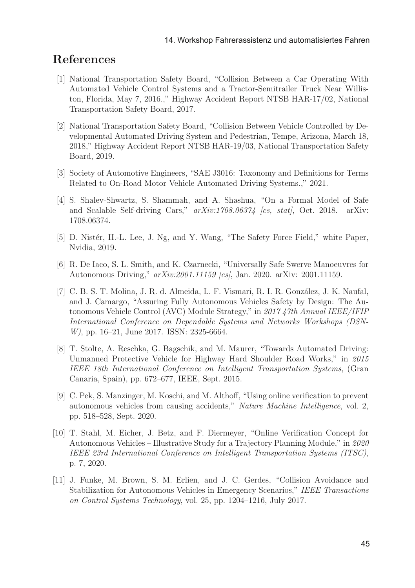# References

- [1] National Transportation Safety Board, "Collision Between a Car Operating With Automated Vehicle Control Systems and a Tractor-Semitrailer Truck Near Williston, Florida, May 7, 2016.," Highway Accident Report NTSB HAR-17/02, National Transportation Safety Board, 2017.
- [2] National Transportation Safety Board, "Collision Between Vehicle Controlled by Developmental Automated Driving System and Pedestrian, Tempe, Arizona, March 18, 2018," Highway Accident Report NTSB HAR-19/03, National Transportation Safety Board, 2019.
- [3] Society of Automotive Engineers, "SAE J3016: Taxonomy and Definitions for Terms Related to On-Road Motor Vehicle Automated Driving Systems.," 2021.
- [4] S. Shalev-Shwartz, S. Shammah, and A. Shashua, "On a Formal Model of Safe and Scalable Self-driving Cars,"  $arXiv:1708.06374$  [cs, stat], Oct. 2018. arXiv: 1708.06374.
- [5] D. Nistér, H.-L. Lee, J. Ng, and Y. Wang, "The Safety Force Field," white Paper, Nvidia, 2019.
- [6] R. De Iaco, S. L. Smith, and K. Czarnecki, "Universally Safe Swerve Manoeuvres for Autonomous Driving," arXiv:2001.11159 [cs], Jan. 2020. arXiv: 2001.11159.
- [7] C. B. S. T. Molina, J. R. d. Almeida, L. F. Vismari, R. I. R. González, J. K. Naufal, and J. Camargo, "Assuring Fully Autonomous Vehicles Safety by Design: The Autonomous Vehicle Control (AVC) Module Strategy," in 2017 47th Annual IEEE/IFIP International Conference on Dependable Systems and Networks Workshops (DSN-W), pp. 16–21, June 2017. ISSN: 2325-6664.
- [8] T. Stolte, A. Reschka, G. Bagschik, and M. Maurer, "Towards Automated Driving: Unmanned Protective Vehicle for Highway Hard Shoulder Road Works," in 2015 IEEE 18th International Conference on Intelligent Transportation Systems, (Gran Canaria, Spain), pp. 672–677, IEEE, Sept. 2015.
- [9] C. Pek, S. Manzinger, M. Koschi, and M. Althoff, "Using online verification to prevent autonomous vehicles from causing accidents," Nature Machine Intelligence, vol. 2, pp. 518–528, Sept. 2020.
- [10] T. Stahl, M. Eicher, J. Betz, and F. Diermeyer, "Online Verification Concept for Autonomous Vehicles – Illustrative Study for a Trajectory Planning Module," in 2020 IEEE 23rd International Conference on Intelligent Transportation Systems (ITSC), p. 7, 2020.
- [11] J. Funke, M. Brown, S. M. Erlien, and J. C. Gerdes, "Collision Avoidance and Stabilization for Autonomous Vehicles in Emergency Scenarios," IEEE Transactions on Control Systems Technology, vol. 25, pp. 1204–1216, July 2017.